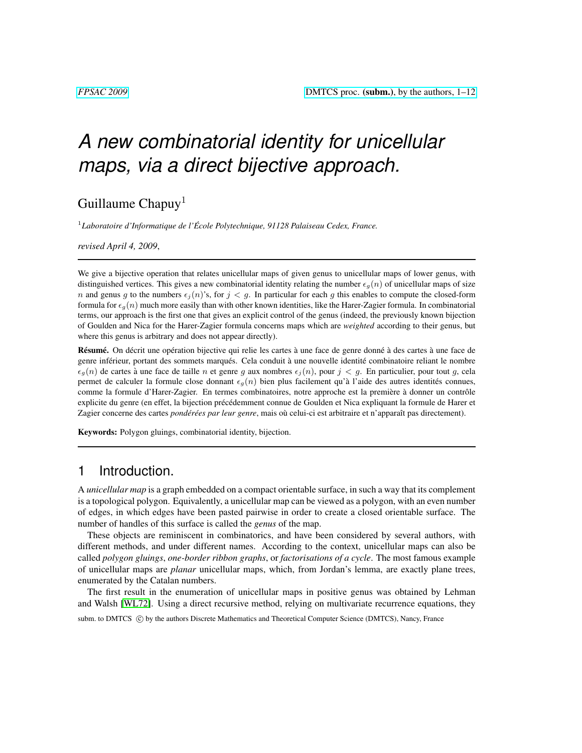# *A new combinatorial identity for unicellular maps, via a direct bijective approach.*

Guillaume Chapuy<sup>1</sup>

1 *Laboratoire d'Informatique de l'Ecole Polytechnique, 91128 Palaiseau Cedex, France. ´*

*revised April 4, 2009*,

We give a bijective operation that relates unicellular maps of given genus to unicellular maps of lower genus, with distinguished vertices. This gives a new combinatorial identity relating the number  $\epsilon_q(n)$  of unicellular maps of size n and genus g to the numbers  $\epsilon_i(n)$ 's, for  $j < g$ . In particular for each g this enables to compute the closed-form formula for  $\epsilon_q(n)$  much more easily than with other known identities, like the Harer-Zagier formula. In combinatorial terms, our approach is the first one that gives an explicit control of the genus (indeed, the previously known bijection of Goulden and Nica for the Harer-Zagier formula concerns maps which are *weighted* according to their genus, but where this genus is arbitrary and does not appear directly).

Résumé. On décrit une opération bijective qui relie les cartes à une face de genre donné à des cartes à une face de genre inférieur, portant des sommets marqués. Cela conduit à une nouvelle identité combinatoire reliant le nombre  $\epsilon_g(n)$  de cartes à une face de taille n et genre g aux nombres  $\epsilon_j(n)$ , pour  $j < g$ . En particulier, pour tout g, cela permet de calculer la formule close donnant  $\epsilon_g(n)$  bien plus facilement qu'à l'aide des autres identités connues, comme la formule d'Harer-Zagier. En termes combinatoires, notre approche est la première à donner un contrôle explicite du genre (en effet, la bijection précédemment connue de Goulden et Nica expliquant la formule de Harer et Zagier concerne des cartes *pondérées par leur genre*, mais où celui-ci est arbitraire et n'apparaît pas directement).

Keywords: Polygon gluings, combinatorial identity, bijection.

# 1 Introduction.

A *unicellular map* is a graph embedded on a compact orientable surface, in such a way that its complement is a topological polygon. Equivalently, a unicellular map can be viewed as a polygon, with an even number of edges, in which edges have been pasted pairwise in order to create a closed orientable surface. The number of handles of this surface is called the *genus* of the map.

These objects are reminiscent in combinatorics, and have been considered by several authors, with different methods, and under different names. According to the context, unicellular maps can also be called *polygon gluings*, *one-border ribbon graphs*, or *factorisations of a cycle*. The most famous example of unicellular maps are *planar* unicellular maps, which, from Jordan's lemma, are exactly plane trees, enumerated by the Catalan numbers.

The first result in the enumeration of unicellular maps in positive genus was obtained by Lehman and Walsh [\[WL72\]](#page-11-0). Using a direct recursive method, relying on multivariate recurrence equations, they

subm. to DMTCS  $\odot$  by the authors Discrete Mathematics and Theoretical Computer Science (DMTCS), Nancy, France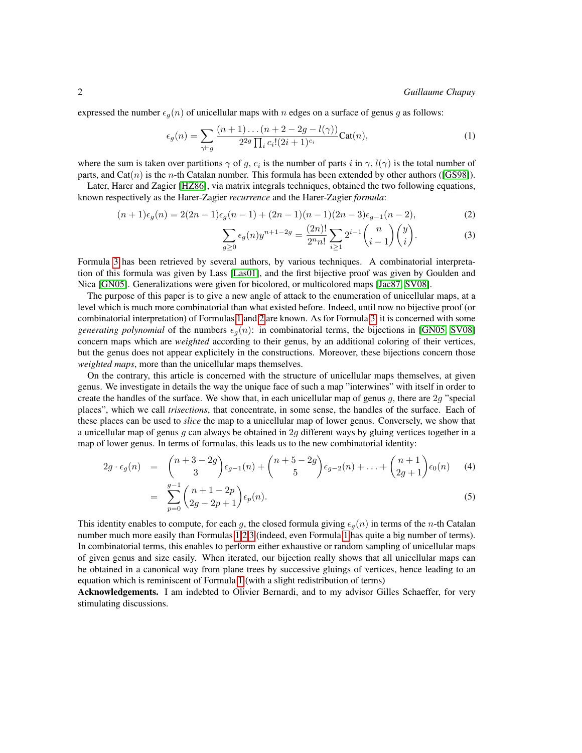expressed the number  $\epsilon_q(n)$  of unicellular maps with n edges on a surface of genus g as follows:

<span id="page-1-1"></span>
$$
\epsilon_g(n) = \sum_{\gamma \vdash g} \frac{(n+1)\dots(n+2-2g - l(\gamma))}{2^{2g} \prod_i c_i! (2i+1)^{c_i}} \text{Cat}(n),\tag{1}
$$

where the sum is taken over partitions  $\gamma$  of g,  $c_i$  is the number of parts i in  $\gamma$ ,  $l(\gamma)$  is the total number of parts, and  $Cat(n)$  is the *n*-th Catalan number. This formula has been extended by other authors ([\[GS98\]](#page-11-1)).

Later, Harer and Zagier [\[HZ86\]](#page-11-2), via matrix integrals techniques, obtained the two following equations, known respectively as the Harer-Zagier *recurrence* and the Harer-Zagier *formula*:

<span id="page-1-0"></span>
$$
(n+1)\epsilon_g(n) = 2(2n-1)\epsilon_g(n-1) + (2n-1)(n-1)(2n-3)\epsilon_{g-1}(n-2),
$$
\n(2)

$$
\sum_{g\geq 0} \epsilon_g(n) y^{n+1-2g} = \frac{(2n)!}{2^n n!} \sum_{i\geq 1} 2^{i-1} \binom{n}{i-1} \binom{y}{i}.
$$
 (3)

Formula [3](#page-1-0) has been retrieved by several authors, by various techniques. A combinatorial interpretation of this formula was given by Lass [\[Las01\]](#page-11-3), and the first bijective proof was given by Goulden and Nica [\[GN05\]](#page-11-4). Generalizations were given for bicolored, or multicolored maps [\[Jac87,](#page-11-5) [SV08\]](#page-11-6).

The purpose of this paper is to give a new angle of attack to the enumeration of unicellular maps, at a level which is much more combinatorial than what existed before. Indeed, until now no bijective proof (or combinatorial interpretation) of Formulas [1](#page-1-1) and [2](#page-1-0) are known. As for Formula [3,](#page-1-0) it is concerned with some *generating polynomial* of the numbers  $\epsilon_q(n)$ : in combinatorial terms, the bijections in [\[GN05,](#page-11-4) [SV08\]](#page-11-6) concern maps which are *weighted* according to their genus, by an additional coloring of their vertices, but the genus does not appear explicitely in the constructions. Moreover, these bijections concern those *weighted maps*, more than the unicellular maps themselves.

On the contrary, this article is concerned with the structure of unicellular maps themselves, at given genus. We investigate in details the way the unique face of such a map "interwines" with itself in order to create the handles of the surface. We show that, in each unicellular map of genus q, there are  $2q$  "special" places", which we call *trisections*, that concentrate, in some sense, the handles of the surface. Each of these places can be used to *slice* the map to a unicellular map of lower genus. Conversely, we show that a unicellular map of genus  $g$  can always be obtained in  $2g$  different ways by gluing vertices together in a map of lower genus. In terms of formulas, this leads us to the new combinatorial identity:

$$
2g \cdot \epsilon_g(n) = \binom{n+3-2g}{3} \epsilon_{g-1}(n) + \binom{n+5-2g}{5} \epsilon_{g-2}(n) + \ldots + \binom{n+1}{2g+1} \epsilon_0(n) \tag{4}
$$

$$
= \sum_{p=0}^{g-1} {n+1-2p \choose 2g-2p+1} \epsilon_p(n). \tag{5}
$$

This identity enables to compute, for each g, the closed formula giving  $\epsilon_q(n)$  in terms of the n-th Catalan number much more easily than Formulas [1](#page-1-1)[,2,3](#page-1-0) (indeed, even Formula [1](#page-1-1) has quite a big number of terms). In combinatorial terms, this enables to perform either exhaustive or random sampling of unicellular maps of given genus and size easily. When iterated, our bijection really shows that all unicellular maps can be obtained in a canonical way from plane trees by successive gluings of vertices, hence leading to an equation which is reminiscent of Formula [1](#page-1-1) (with a slight redistribution of terms)

Acknowledgements. I am indebted to Olivier Bernardi, and to my advisor Gilles Schaeffer, for very stimulating discussions.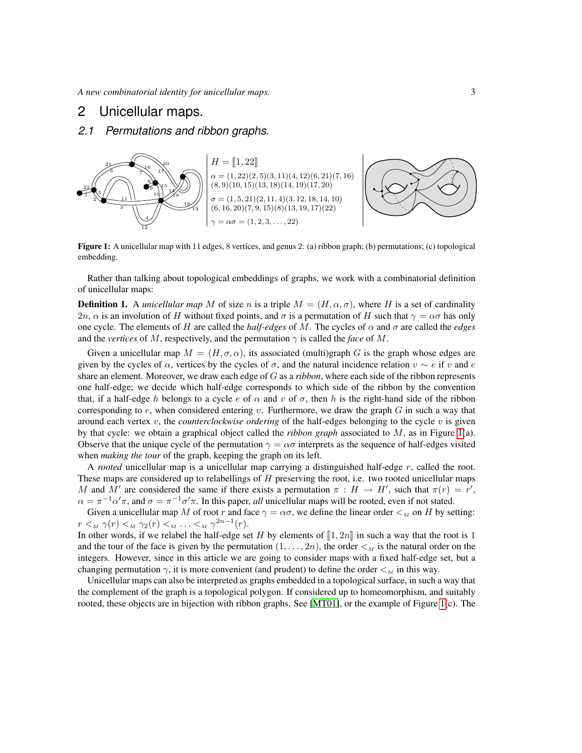# 2 Unicellular maps.

# *2.1 Permutations and ribbon graphs.*



<span id="page-2-0"></span>Figure 1: A unicellular map with 11 edges, 8 vertices, and genus 2: (a) ribbon graph; (b) permutations; (c) topological embedding.

Rather than talking about topological embeddings of graphs, we work with a combinatorial definition of unicellular maps:

**Definition 1.** A *unicellular map* M of size n is a triple  $M = (H, \alpha, \sigma)$ , where H is a set of cardinality 2n,  $\alpha$  is an involution of H without fixed points, and  $\sigma$  is a permutation of H such that  $\gamma = \alpha \sigma$  has only one cycle. The elements of H are called the *half-edges* of M. The cycles of  $\alpha$  and  $\sigma$  are called the *edges* and the *vertices* of M, respectively, and the permutation  $\gamma$  is called the *face* of M.

Given a unicellular map  $M = (H, \sigma, \alpha)$ , its associated (multi)graph G is the graph whose edges are given by the cycles of  $\alpha$ , vertices by the cycles of  $\sigma$ , and the natural incidence relation  $v \sim e$  if v and e share an element. Moreover, we draw each edge of G as a *ribbon*, where each side of the ribbon represents one half-edge; we decide which half-edge corresponds to which side of the ribbon by the convention that, if a half-edge h belongs to a cycle e of  $\alpha$  and v of  $\sigma$ , then h is the right-hand side of the ribbon corresponding to  $e$ , when considered entering v. Furthermore, we draw the graph  $G$  in such a way that around each vertex  $v$ , the *counterclockwise ordering* of the half-edges belonging to the cycle  $v$  is given by that cycle: we obtain a graphical object called the *ribbon graph* associated to M, as in Figure [1\(](#page-2-0)a). Observe that the unique cycle of the permutation  $\gamma = \alpha \sigma$  interprets as the sequence of half-edges visited when *making the tour* of the graph, keeping the graph on its left.

A *rooted* unicellular map is a unicellular map carrying a distinguished half-edge r, called the root. These maps are considered up to relabellings of  $H$  preserving the root, i.e. two rooted unicellular maps M and M' are considered the same if there exists a permutation  $\pi : H \to H'$ , such that  $\pi(r) = r'$ ,  $\alpha = \pi^{-1} \alpha' \pi$ , and  $\sigma = \pi^{-1} \sigma' \pi$ . In this paper, *all* unicellular maps will be rooted, even if not stated.

Given a unicellular map M of root r and face  $\gamma = \alpha \sigma$ , we define the linear order  $\lt_M$  on H by setting:  $r <_M \gamma(r) <_M \gamma_2(r) <_M \ldots <_M \gamma^{2n-1}(r).$ 

In other words, if we relabel the half-edge set H by elements of  $\llbracket 1, 2n \rrbracket$  in such a way that the root is 1 and the tour of the face is given by the permutation  $(1, \ldots, 2n)$ , the order  $\lt_M$  is the natural order on the integers. However, since in this article we are going to consider maps with a fixed half-edge set, but a changing permutation  $\gamma$ , it is more convenient (and prudent) to define the order  $\lt M$  in this way.

Unicellular maps can also be interpreted as graphs embedded in a topological surface, in such a way that the complement of the graph is a topological polygon. If considered up to homeomorphism, and suitably rooted, these objects are in bijection with ribbon graphs. See [\[MT01\]](#page-11-7), or the example of Figure [1\(](#page-2-0)c). The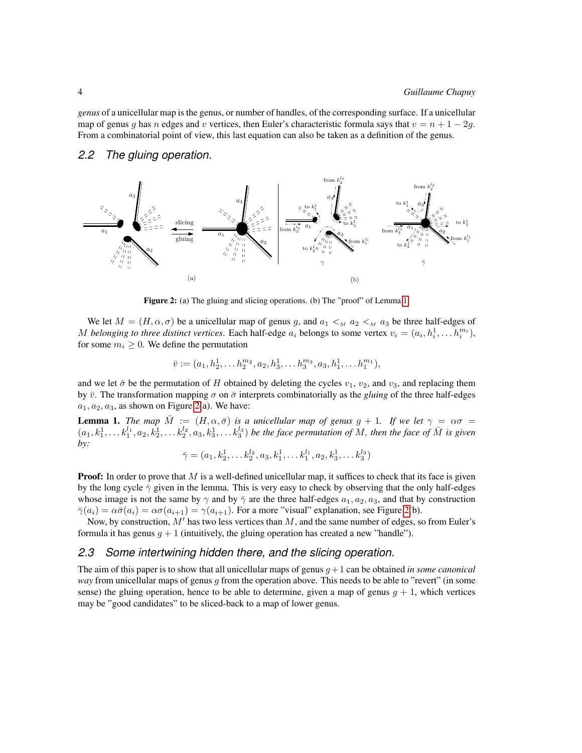*genus* of a unicellular map is the genus, or number of handles, of the corresponding surface. If a unicellular map of genus g has n edges and v vertices, then Euler's characteristic formula says that  $v = n + 1 - 2g$ . From a combinatorial point of view, this last equation can also be taken as a definition of the genus.

#### *2.2 The gluing operation.*



<span id="page-3-1"></span>Figure 2: (a) The gluing and slicing operations. (b) The "proof" of Lemma [1.](#page-3-0)

We let  $M = (H, \alpha, \sigma)$  be a unicellular map of genus g, and  $a_1 \lt_M a_2 \lt_M a_3$  be three half-edges of M belonging to three distinct vertices. Each half-edge  $a_i$  belongs to some vertex  $v_i = (a_i, h_i^1, \dots h_i^{m_i})$ , for some  $m_i \geq 0$ . We define the permutation

$$
\bar{v} := (a_1, h_2^1, \dots, h_2^{m_2}, a_2, h_3^1, \dots, h_3^{m_3}, a_3, h_1^1, \dots, h_1^{m_1}),
$$

and we let  $\bar{\sigma}$  be the permutation of H obtained by deleting the cycles  $v_1$ ,  $v_2$ , and  $v_3$ , and replacing them by  $\bar{v}$ . The transformation mapping  $\sigma$  on  $\bar{\sigma}$  interprets combinatorially as the *gluing* of the three half-edges  $a_1, a_2, a_3$ , as shown on Figure [2\(](#page-3-1)a). We have:

<span id="page-3-0"></span>**Lemma 1.** *The map*  $\overline{M} := (H, \alpha, \overline{\sigma})$  *is a unicellular map of genus*  $g + 1$ *. If we let*  $\gamma = \alpha \sigma =$  $(a_1,k_1^1,\ldots k_1^{l_1},a_2,k_2^1,\ldots k_2^{l_2},a_3,k_3^1,\ldots k_3^{l_3})$  *be the face permutation of* M, then the face of  $\bar{M}$  is given *by:*

$$
\bar{\gamma} = (a_1, k_2^1, \dots k_2^{l_2}, a_3, k_1^1, \dots k_1^{l_1}, a_2, k_3^1, \dots k_3^{l_3})
$$

**Proof:** In order to prove that  $M$  is a well-defined unicellular map, it suffices to check that its face is given by the long cycle  $\bar{\gamma}$  given in the lemma. This is very easy to check by observing that the only half-edges whose image is not the same by  $\gamma$  and by  $\bar{\gamma}$  are the three half-edges  $a_1, a_2, a_3$ , and that by construction  $\bar{\gamma}(a_i) = \alpha \bar{\sigma}(a_i) = \alpha \sigma(a_{i+1}) = \gamma(a_{i+1})$ . For a more "visual" explanation, see Figure [2\(](#page-3-1)b).

Now, by construction,  $M'$  has two less vertices than  $M$ , and the same number of edges, so from Euler's formula it has genus  $g + 1$  (intuitively, the gluing operation has created a new "handle").

#### *2.3 Some intertwining hidden there, and the slicing operation.*

The aim of this paper is to show that all unicellular maps of genus  $q+1$  can be obtained *in some canonical way* from unicellular maps of genus g from the operation above. This needs to be able to "revert" (in some sense) the gluing operation, hence to be able to determine, given a map of genus  $q + 1$ , which vertices may be "good candidates" to be sliced-back to a map of lower genus.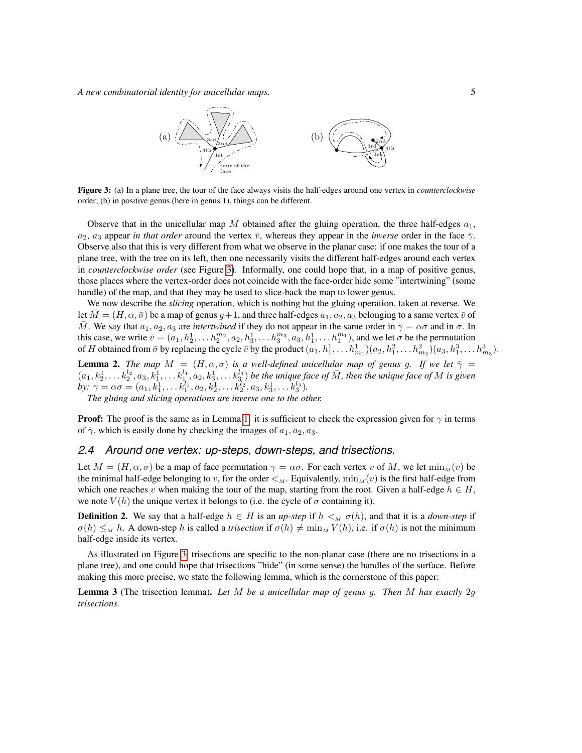*A new combinatorial identity for unicellular maps.* 5



<span id="page-4-0"></span>Figure 3: (a) In a plane tree, the tour of the face always visits the half-edges around one vertex in *counterclockwise* order; (b) in positive genus (here in genus 1), things can be different.

Observe that in the unicellular map  $\overline{M}$  obtained after the gluing operation, the three half-edges  $a_1$ ,  $a_2$ ,  $a_3$  appear *in that order* around the vertex  $\bar{v}$ , whereas they appear in the *inverse* order in the face  $\bar{\gamma}$ . Observe also that this is very different from what we observe in the planar case: if one makes the tour of a plane tree, with the tree on its left, then one necessarily visits the different half-edges around each vertex in *counterclockwise order* (see Figure [3\)](#page-4-0). Informally, one could hope that, in a map of positive genus, those places where the vertex-order does not coincide with the face-order hide some "intertwining" (some handle) of the map, and that they may be used to slice-back the map to lower genus.

We now describe the *slicing* operation, which is nothing but the gluing operation, taken at reverse. We let  $M = (H, \alpha, \bar{\sigma})$  be a map of genus  $q+1$ , and three half-edges  $a_1, a_2, a_3$  belonging to a same vertex  $\bar{v}$  of M. We say that  $a_1, a_2, a_3$  are *intertwined* if they do not appear in the same order in  $\bar{\gamma} = \alpha \bar{\sigma}$  and in  $\bar{\sigma}$ . In this case, we write  $\bar{v}=(a_1,h_2^1,\ldots h_2^{m_2},a_2,h_3^1,\ldots h_3^{m_3},a_3,h_1^1,\ldots h_1^{m_1})$ , and we let  $\sigma$  be the permutation of H obtained from  $\bar{\sigma}$  by replacing the cycle  $\bar{v}$  by the product  $(a_1, h_1^1, \ldots h_{m_1}^1)(a_2, h_1^2, \ldots h_{m_2}^2)(a_3, h_1^3, \ldots h_{m_3}^3)$ .

<span id="page-4-1"></span>**Lemma 2.** *The map*  $M = (H, \alpha, \sigma)$  *is a well-defined unicellular map of genus g. If we let*  $\bar{\gamma}$  =  $(a_1,k_2^1,\ldots k_2^{l_2},a_3,k_1^1,\ldots k_1^{l_1},a_2,k_3^1,\ldots k_3^{l_3})$  be the unique face of  $\bar{M}$ , then the unique face of  $M$  is given *by*:  $\gamma = \alpha \sigma = (a_1, k_1^1, \ldots, k_1^{l_1}, a_2, k_2^1, \ldots, k_2^{l_2}, a_3, k_3^1, \ldots, k_3^{l_3}).$ 

*The gluing and slicing operations are inverse one to the other.*

**Proof:** The proof is the same as in Lemma [1:](#page-3-0) it is sufficient to check the expression given for  $\gamma$  in terms of  $\bar{\gamma}$ , which is easily done by checking the images of  $a_1, a_2, a_3$ .

#### *2.4 Around one vertex: up-steps, down-steps, and trisections.*

Let  $M = (H, \alpha, \sigma)$  be a map of face permutation  $\gamma = \alpha \sigma$ . For each vertex v of M, we let  $\min_{M}(v)$  be the minimal half-edge belonging to v, for the order  $\lt_M$ . Equivalently,  $\min_M(v)$  is the first half-edge from which one reaches v when making the tour of the map, starting from the root. Given a half-edge  $h \in H$ , we note  $V(h)$  the unique vertex it belongs to (i.e. the cycle of  $\sigma$  containing it).

**Definition 2.** We say that a half-edge  $h \in H$  is an *up-step* if  $h \lt_{M} \sigma(h)$ , and that it is a *down-step* if  $\sigma(h) \leq_M h$ . A down-step h is called a *trisection* if  $\sigma(h) \neq \min_M V(h)$ , i.e. if  $\sigma(h)$  is not the minimum half-edge inside its vertex.

As illustrated on Figure [3,](#page-4-0) trisections are specific to the non-planar case (there are no trisections in a plane tree), and one could hope that trisections "hide" (in some sense) the handles of the surface. Before making this more precise, we state the following lemma, which is the cornerstone of this paper:

<span id="page-4-2"></span>Lemma 3 (The trisection lemma). *Let* M *be a unicellular map of genus* g*. Then* M *has exactly* 2g *trisections.*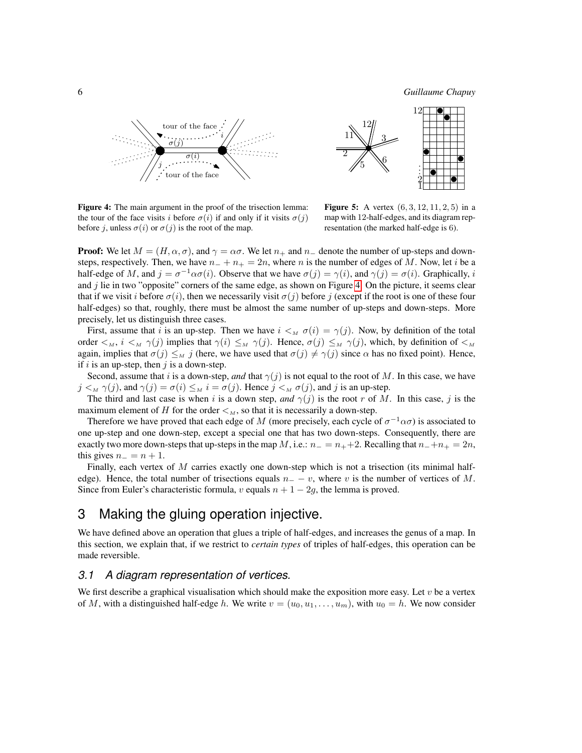6 *Guillaume Chapuy*





<span id="page-5-0"></span>Figure 4: The main argument in the proof of the trisection lemma: the tour of the face visits i before  $\sigma(i)$  if and only if it visits  $\sigma(j)$ before j, unless  $\sigma(i)$  or  $\sigma(j)$  is the root of the map.

<span id="page-5-1"></span>**Figure 5:** A vertex  $(6, 3, 12, 11, 2, 5)$  in a map with 12-half-edges, and its diagram representation (the marked half-edge is 6).

**Proof:** We let  $M = (H, \alpha, \sigma)$ , and  $\gamma = \alpha \sigma$ . We let  $n_+$  and  $n_-$  denote the number of up-steps and downsteps, respectively. Then, we have  $n_{-} + n_{+} = 2n$ , where n is the number of edges of M. Now, let i be a half-edge of M, and  $j = \sigma^{-1} \alpha \sigma(i)$ . Observe that we have  $\sigma(j) = \gamma(i)$ , and  $\gamma(j) = \sigma(i)$ . Graphically, i and  $j$  lie in two "opposite" corners of the same edge, as shown on Figure [4.](#page-5-0) On the picture, it seems clear that if we visit i before  $\sigma(i)$ , then we necessarily visit  $\sigma(j)$  before j (except if the root is one of these four half-edges) so that, roughly, there must be almost the same number of up-steps and down-steps. More precisely, let us distinguish three cases.

First, assume that i is an up-step. Then we have  $i <_M \sigma(i) = \gamma(j)$ . Now, by definition of the total order  $\langle M, i \rangle_{M}$   $\gamma(j)$  implies that  $\gamma(i) \leq M$   $\gamma(j)$ . Hence,  $\sigma(j) \leq M$   $\gamma(j)$ , which, by definition of  $\langle M \rangle$ again, implies that  $\sigma(j) \leq_M j$  (here, we have used that  $\sigma(j) \neq \gamma(j)$  since  $\alpha$  has no fixed point). Hence, if i is an up-step, then j is a down-step.

Second, assume that i is a down-step, *and* that  $\gamma(j)$  is not equal to the root of M. In this case, we have  $j \lt_M \gamma(j)$ , and  $\gamma(j) = \sigma(i) \leq M \ i = \sigma(j)$ . Hence  $j \lt_M \sigma(j)$ , and j is an up-step.

The third and last case is when i is a down step, and  $\gamma(j)$  is the root r of M. In this case, j is the maximum element of H for the order  $\lt_M$ , so that it is necessarily a down-step.

Therefore we have proved that each edge of M (more precisely, each cycle of  $\sigma^{-1} \alpha \sigma$ ) is associated to one up-step and one down-step, except a special one that has two down-steps. Consequently, there are exactly two more down-steps that up-steps in the map M, i.e.:  $n_ - = n_ + + 2$ . Recalling that  $n_- + n_ + = 2n$ , this gives  $n_ - = n + 1$ .

Finally, each vertex of  $M$  carries exactly one down-step which is not a trisection (its minimal halfedge). Hence, the total number of trisections equals  $n = -v$ , where v is the number of vertices of M. Since from Euler's characteristic formula, v equals  $n + 1 - 2g$ , the lemma is proved.

# 3 Making the gluing operation injective.

We have defined above an operation that glues a triple of half-edges, and increases the genus of a map. In this section, we explain that, if we restrict to *certain types* of triples of half-edges, this operation can be made reversible.

#### <span id="page-5-2"></span>*3.1 A diagram representation of vertices.*

We first describe a graphical visualisation which should make the exposition more easy. Let  $v$  be a vertex of M, with a distinguished half-edge h. We write  $v = (u_0, u_1, \dots, u_m)$ , with  $u_0 = h$ . We now consider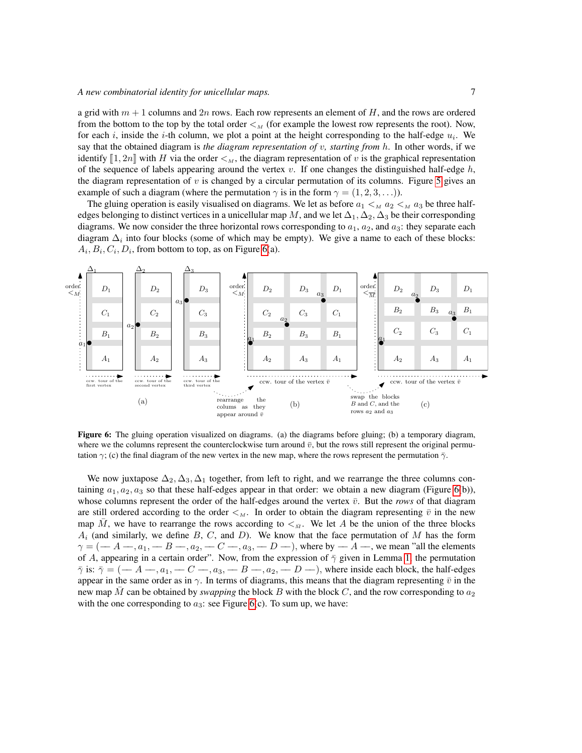a grid with  $m + 1$  columns and  $2n$  rows. Each row represents an element of H, and the rows are ordered from the bottom to the top by the total order  $\lt_M$  (for example the lowest row represents the root). Now, for each i, inside the i-th column, we plot a point at the height corresponding to the half-edge  $u_i$ . We say that the obtained diagram is *the diagram representation of* v*, starting from* h. In other words, if we identify  $[1, 2n]$  with H via the order  $\lt_M$ , the diagram representation of v is the graphical representation of the sequence of labels appearing around the vertex v. If one changes the distinguished half-edge  $h$ , the diagram representation of  $v$  is changed by a circular permutation of its columns. Figure [5](#page-5-1) gives an example of such a diagram (where the permutation  $\gamma$  is in the form  $\gamma = (1, 2, 3, \ldots)$ ).

The gluing operation is easily visualised on diagrams. We let as before  $a_1 <_M a_2 <_M a_3$  be three halfedges belonging to distinct vertices in a unicellular map M, and we let  $\Delta_1, \Delta_2, \Delta_3$  be their corresponding diagrams. We now consider the three horizontal rows corresponding to  $a_1$ ,  $a_2$ , and  $a_3$ : they separate each diagram  $\Delta_i$  into four blocks (some of which may be empty). We give a name to each of these blocks:  $A_i, B_i, C_i, D_i$ , from bottom to top, as on Figure [6\(](#page-6-0)a).



<span id="page-6-0"></span>Figure 6: The gluing operation visualized on diagrams. (a) the diagrams before gluing; (b) a temporary diagram, where we the columns represent the counterclockwise turn around  $\bar{v}$ , but the rows still represent the original permutation  $\gamma$ ; (c) the final diagram of the new vertex in the new map, where the rows represent the permutation  $\bar{\gamma}$ .

We now juxtapose  $\Delta_2, \Delta_3, \Delta_1$  together, from left to right, and we rearrange the three columns containing  $a_1, a_2, a_3$  so that these half-edges appear in that order: we obtain a new diagram (Figure [6\(](#page-6-0)b)), whose columns represent the order of the half-edges around the vertex  $\bar{v}$ . But the *rows* of that diagram are still ordered according to the order  $\lt_M$ . In order to obtain the diagram representing  $\bar{v}$  in the new map M, we have to rearrange the rows according to  $\lt_{\bar{M}}$ . We let A be the union of the three blocks  $A_i$  (and similarly, we define  $B$ ,  $C$ , and  $D$ ). We know that the face permutation of  $M$  has the form  $\gamma = (-A - A_1, -B - A_2, -C - A_3, -D -)$ , where by  $-A - A$ , we mean "all the elements of A, appearing in a certain order". Now, from the expression of  $\bar{\gamma}$  given in Lemma [1,](#page-3-0) the permutation  $\bar{\gamma}$  is:  $\bar{\gamma} = (-A - A_1, -C - A_2, -B - A_2, -D - A_1)$ , where inside each block, the half-edges appear in the same order as in  $\gamma$ . In terms of diagrams, this means that the diagram representing  $\bar{v}$  in the new map M can be obtained by *swapping* the block B with the block C, and the row corresponding to  $a_2$ with the one corresponding to  $a_3$ : see Figure [6\(](#page-6-0)c). To sum up, we have: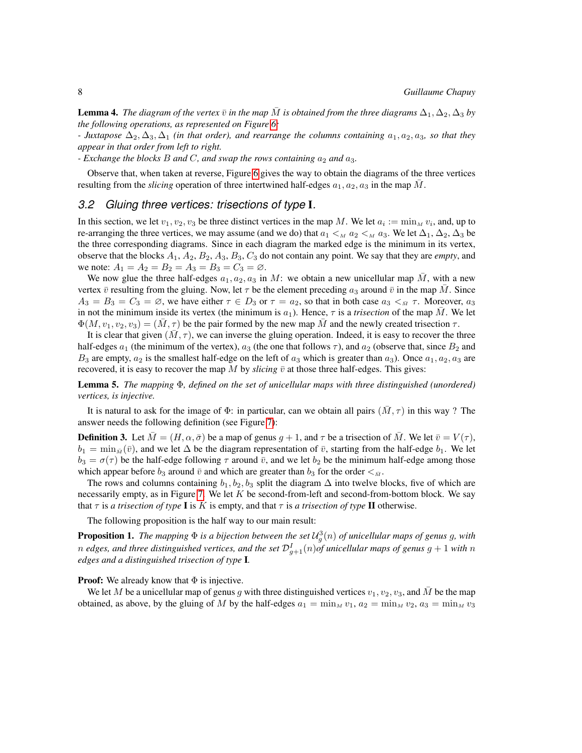**Lemma 4.** *The diagram of the vertex*  $\bar{v}$  *in the map*  $\bar{M}$  *is obtained from the three diagrams*  $\Delta_1, \Delta_2, \Delta_3$  *by the following operations, as represented on Figure [6:](#page-6-0)*

*- Juxtapose*  $\Delta_2, \Delta_3, \Delta_1$  *(in that order), and rearrange the columns containing*  $a_1, a_2, a_3$ *, so that they appear in that order from left to right.*

*- Exchange the blocks B and C, and swap the rows containing*  $a_2$  *and*  $a_3$ *.* 

Observe that, when taken at reverse, Figure [6](#page-6-0) gives the way to obtain the diagrams of the three vertices resulting from the *slicing* operation of three intertwined half-edges  $a_1, a_2, a_3$  in the map  $\overline{M}$ .

#### *3.2 Gluing three vertices: trisections of type* I*.*

In this section, we let  $v_1, v_2, v_3$  be three distinct vertices in the map M. We let  $a_i := \min_M v_i$ , and, up to re-arranging the three vertices, we may assume (and we do) that  $a_1 <_M a_2 <_M a_3$ . We let  $\Delta_1, \Delta_2, \Delta_3$  be the three corresponding diagrams. Since in each diagram the marked edge is the minimum in its vertex, observe that the blocks  $A_1$ ,  $A_2$ ,  $B_2$ ,  $A_3$ ,  $B_3$ ,  $C_3$  do not contain any point. We say that they are *empty*, and we note:  $A_1 = A_2 = B_2 = A_3 = B_3 = C_3 = \emptyset$ .

We now glue the three half-edges  $a_1, a_2, a_3$  in M: we obtain a new unicellular map M, with a new vertex  $\bar{v}$  resulting from the gluing. Now, let  $\tau$  be the element preceding  $a_3$  around  $\bar{v}$  in the map M. Since  $A_3 = B_3 = C_3 = \emptyset$ , we have either  $\tau \in D_3$  or  $\tau = a_2$ , so that in both case  $a_3 <_{\overline{M}} \tau$ . Moreover,  $a_3$ in not the minimum inside its vertex (the minimum is  $a_1$ ). Hence,  $\tau$  is a *trisection* of the map M. We let  $\Phi(M, v_1, v_2, v_3) = (M, \tau)$  be the pair formed by the new map M and the newly created trisection  $\tau$ .

It is clear that given  $(M, \tau)$ , we can inverse the gluing operation. Indeed, it is easy to recover the three half-edges  $a_1$  (the minimum of the vertex),  $a_3$  (the one that follows  $\tau$ ), and  $a_2$  (observe that, since  $B_2$  and  $B_3$  are empty,  $a_2$  is the smallest half-edge on the left of  $a_3$  which is greater than  $a_3$ ). Once  $a_1, a_2, a_3$  are recovered, it is easy to recover the map M by *slicing*  $\bar{v}$  at those three half-edges. This gives:

Lemma 5. *The mapping* Φ*, defined on the set of unicellular maps with three distinguished (unordered) vertices, is injective.*

It is natural to ask for the image of  $\Phi$ : in particular, can we obtain all pairs  $(M, \tau)$  in this way ? The answer needs the following definition (see Figure [7\)](#page-8-0):

<span id="page-7-0"></span>**Definition 3.** Let  $M = (H, \alpha, \bar{\sigma})$  be a map of genus  $g + 1$ , and  $\tau$  be a trisection of M. We let  $\bar{v} = V(\tau)$ ,  $b_1 = \min_{\bar{M}}(\bar{v})$ , and we let  $\Delta$  be the diagram representation of  $\bar{v}$ , starting from the half-edge  $b_1$ . We let  $b_3 = \sigma(\tau)$  be the half-edge following  $\tau$  around  $\bar{v}$ , and we let  $b_2$  be the minimum half-edge among those which appear before  $b_3$  around  $\bar{v}$  and which are greater than  $b_3$  for the order  $\lt_{\bar{M}}$ .

The rows and columns containing  $b_1, b_2, b_3$  split the diagram  $\Delta$  into twelve blocks, five of which are necessarily empty, as in Figure [7.](#page-8-0) We let  $K$  be second-from-left and second-from-bottom block. We say that  $\tau$  is *a trisection of type* **I** is *K* is empty, and that  $\tau$  is *a trisection of type* **II** otherwise.

The following proposition is the half way to our main result:

<span id="page-7-1"></span>**Proposition 1.** The mapping  $\Phi$  is a bijection between the set  $\mathcal{U}^3_g(n)$  of unicellular maps of genus g, with  $n$  edges, and three distinguished vertices, and the set  $\mathcal{D}^I_{g+1}(n)$ of unicellular maps of genus  $g+1$  with  $n$ *edges and a distinguished trisection of type* I*.*

**Proof:** We already know that  $\Phi$  is injective.

We let M be a unicellular map of genus g with three distinguished vertices  $v_1, v_2, v_3$ , and M be the map obtained, as above, by the gluing of M by the half-edges  $a_1 = \min_M v_1$ ,  $a_2 = \min_M v_2$ ,  $a_3 = \min_M v_3$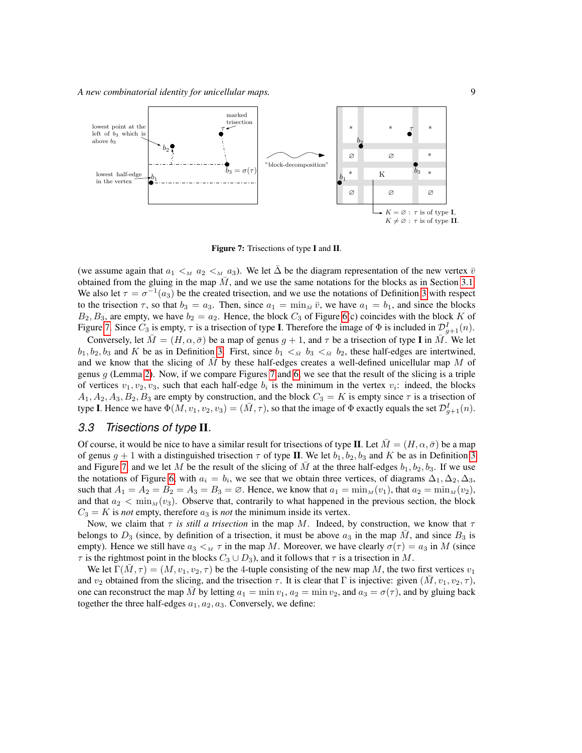

<span id="page-8-0"></span>Figure 7: Trisections of type I and II.

(we assume again that  $a_1 <_{M} a_2 <_{M} a_3$ ). We let  $\Delta$  be the diagram representation of the new vertex  $\bar{v}$ obtained from the gluing in the map  $\overline{M}$ , and we use the same notations for the blocks as in Section [3.1.](#page-5-2) We also let  $\tau = \sigma^{-1}(a_3)$  be the created trisection, and we use the notations of Definition [3](#page-7-0) with respect to the trisection  $\tau$ , so that  $b_3 = a_3$ . Then, since  $a_1 = \min_{\overline{M}} \overline{v}$ , we have  $a_1 = b_1$ , and since the blocks  $B_2, B_3$ , are empty, we have  $b_2 = a_2$ . Hence, the block  $C_3$  of Figure [6\(](#page-6-0)c) coincides with the block K of Figure [7.](#page-8-0) Since  $C_3$  is empty,  $\tau$  is a trisection of type **I**. Therefore the image of  $\Phi$  is included in  $\mathcal{D}_{g+1}^I(n)$ .

Conversely, let  $M = (H, \alpha, \bar{\sigma})$  be a map of genus  $g + 1$ , and  $\tau$  be a trisection of type I in M. We let  $b_1, b_2, b_3$  and K be as in Definition [3.](#page-7-0) First, since  $b_1 <_{\tilde{M}} b_3 <_{\tilde{M}} b_2$ , these half-edges are intertwined, and we know that the slicing of  $\overline{M}$  by these half-edges creates a well-defined unicellular map  $\overline{M}$  of genus  $g$  (Lemma [2\)](#page-4-1). Now, if we compare Figures [7](#page-8-0) and [6,](#page-6-0) we see that the result of the slicing is a triple of vertices  $v_1, v_2, v_3$ , such that each half-edge  $b_i$  is the minimum in the vertex  $v_i$ : indeed, the blocks  $A_1, A_2, A_3, B_2, B_3$  are empty by construction, and the block  $C_3 = K$  is empty since  $\tau$  is a trisection of type I. Hence we have  $\Phi(M, v_1, v_2, v_3) = (\bar{M}, \tau)$ , so that the image of  $\Phi$  exactly equals the set  $\mathcal{D}_{g+1}^I(n)$ .

#### *3.3 Trisections of type* II*.*

Of course, it would be nice to have a similar result for trisections of type II. Let  $\overline{M} = (H, \alpha, \overline{\sigma})$  be a map of genus  $g + 1$  with a distinguished trisection  $\tau$  of type II. We let  $b_1, b_2, b_3$  and K be as in Definition [3](#page-7-0) and Figure [7,](#page-8-0) and we let M be the result of the slicing of  $\overline{M}$  at the three half-edges  $b_1, b_2, b_3$ . If we use the notations of Figure [6,](#page-6-0) with  $a_i = b_i$ , we see that we obtain three vertices, of diagrams  $\Delta_1, \Delta_2, \Delta_3$ , such that  $A_1 = A_2 = B_2 = A_3 = B_3 = \emptyset$ . Hence, we know that  $a_1 = \min_M(v_1)$ , that  $a_2 = \min_M(v_2)$ , and that  $a_2 < \min_M(v_3)$ . Observe that, contrarily to what happened in the previous section, the block  $C_3 = K$  is *not* empty, therefore  $a_3$  is *not* the minimum inside its vertex.

Now, we claim that  $\tau$  *is still a trisection* in the map M. Indeed, by construction, we know that  $\tau$ belongs to  $D_3$  (since, by definition of a trisection, it must be above  $a_3$  in the map M, and since  $B_3$  is empty). Hence we still have  $a_3 <sub>M</sub> \tau$  in the map M. Moreover, we have clearly  $\sigma(\tau) = a_3$  in M (since  $\tau$  is the rightmost point in the blocks  $C_3 \cup D_3$ ), and it follows that  $\tau$  is a trisection in M.

We let  $\Gamma(M, \tau) = (M, v_1, v_2, \tau)$  be the 4-tuple consisting of the new map M, the two first vertices  $v_1$ and  $v_2$  obtained from the slicing, and the trisection  $\tau$ . It is clear that  $\Gamma$  is injective: given  $(\bar{M}, v_1, v_2, \tau)$ , one can reconstruct the map M by letting  $a_1 = \min v_1, a_2 = \min v_2$ , and  $a_3 = \sigma(\tau)$ , and by gluing back together the three half-edges  $a_1, a_2, a_3$ . Conversely, we define: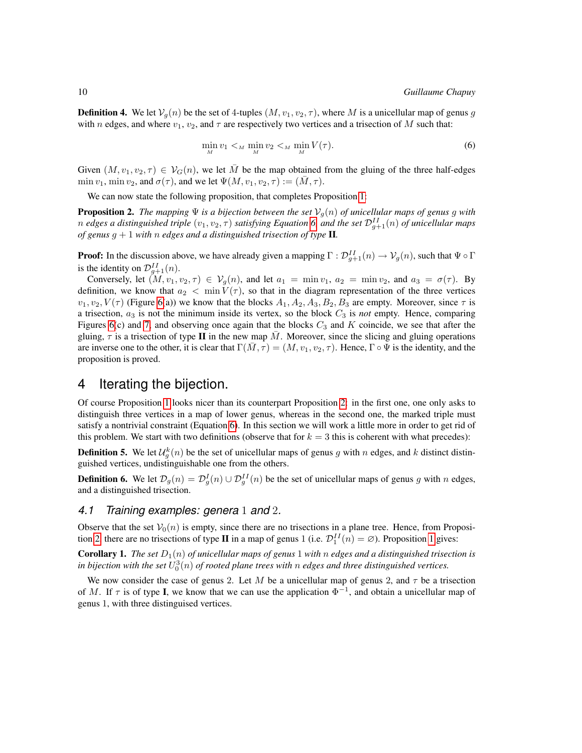**Definition 4.** We let  $V_q(n)$  be the set of 4-tuples  $(M, v_1, v_2, \tau)$ , where M is a unicellular map of genus g with n edges, and where  $v_1$ ,  $v_2$ , and  $\tau$  are respectively two vertices and a trisection of M such that:

<span id="page-9-0"></span>
$$
\min_{M} v_1 <_{M} \min_{M} v_2 <_{M} \min_{M} V(\tau). \tag{6}
$$

Given  $(M, v_1, v_2, \tau) \in V_G(n)$ , we let M be the map obtained from the gluing of the three half-edges min  $v_1$ , min  $v_2$ , and  $\sigma(\tau)$ , and we let  $\Psi(M, v_1, v_2, \tau) := (M, \tau)$ .

We can now state the following proposition, that completes Proposition [1:](#page-7-1)

<span id="page-9-1"></span>**Proposition 2.** *The mapping*  $\Psi$  *is a bijection between the set*  $V_q(n)$  *of unicellular maps of genus g with* n edges a distinguished triple  $(v_1, v_2, \tau)$  satisfying Equation [6,](#page-9-0) and the set  $\mathcal{D}_{g+1}^{II}(n)$  of unicellular maps *of genus*  $g + 1$  *with*  $n$  *edges and a distinguished trisection of type* **II**.

**Proof:** In the discussion above, we have already given a mapping  $\Gamma: \mathcal{D}_{g+1}^{II}(n) \to \mathcal{V}_g(n)$ , such that  $\Psi \circ \Gamma$ is the identity on  $\mathcal{D}_{g+1}^{II}(n)$ .

Conversely, let  $(M, v_1, v_2, \tau) \in V_q(n)$ , and let  $a_1 = \min v_1$ ,  $a_2 = \min v_2$ , and  $a_3 = \sigma(\tau)$ . By definition, we know that  $a_2 < \min V(\tau)$ , so that in the diagram representation of the three vertices  $v_1, v_2, V(\tau)$  (Figure [6\(](#page-6-0)a)) we know that the blocks  $A_1, A_2, A_3, B_2, B_3$  are empty. Moreover, since  $\tau$  is a trisection,  $a_3$  is not the minimum inside its vertex, so the block  $C_3$  is *not* empty. Hence, comparing Figures [6\(](#page-6-0)c) and [7,](#page-8-0) and observing once again that the blocks  $C_3$  and K coincide, we see that after the gluing,  $\tau$  is a trisection of type II in the new map M. Moreover, since the slicing and gluing operations are inverse one to the other, it is clear that  $\Gamma(M, \tau) = (M, v_1, v_2, \tau)$ . Hence,  $\Gamma \circ \Psi$  is the identity, and the proposition is proved.

# 4 Iterating the bijection.

Of course Proposition [1](#page-7-1) looks nicer than its counterpart Proposition [2:](#page-9-1) in the first one, one only asks to distinguish three vertices in a map of lower genus, whereas in the second one, the marked triple must satisfy a nontrivial constraint (Equation [6\)](#page-9-0). In this section we will work a little more in order to get rid of this problem. We start with two definitions (observe that for  $k = 3$  this is coherent with what precedes):

**Definition 5.** We let  $\mathcal{U}_g^k(n)$  be the set of unicellular maps of genus g with n edges, and k distinct distinguished vertices, undistinguishable one from the others.

**Definition 6.** We let  $\mathcal{D}_g(n) = \mathcal{D}_g^I(n) \cup \mathcal{D}_g^{II}(n)$  be the set of unicellular maps of genus g with n edges, and a distinguished trisection.

#### *4.1 Training examples: genera* 1 *and* 2*.*

Observe that the set  $V_0(n)$  is empty, since there are no trisections in a plane tree. Hence, from Proposi-tion [2,](#page-9-1) there are no trisections of type **II** in a map of genus [1](#page-7-1) (i.e.  $\mathcal{D}_1^{II}(n) = \emptyset$ ). Proposition 1 gives:

**Corollary 1.** *The set*  $D_1(n)$  *of unicellular maps of genus* 1 *with n edges and a distinguished trisection is* in bijection with the set  $U^3_0(n)$  of rooted plane trees with  $n$  edges and three distinguished vertices.

We now consider the case of genus 2. Let M be a unicellular map of genus 2, and  $\tau$  be a trisection of M. If  $\tau$  is of type **I**, we know that we can use the application  $\Phi^{-1}$ , and obtain a unicellular map of genus 1, with three distinguised vertices.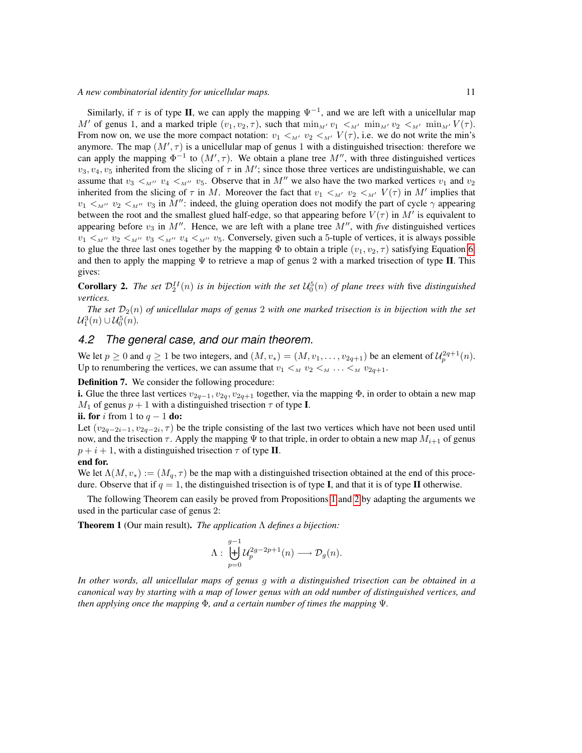Similarly, if  $\tau$  is of type II, we can apply the mapping  $\Psi^{-1}$ , and we are left with a unicellular map M' of genus 1, and a marked triple  $(v_1, v_2, \tau)$ , such that  $\min_{M'} v_1 <_{M'} \min_{M'} v_2 <_{M'} \min_{M'} V(\tau)$ . From now on, we use the more compact notation:  $v_1 <_{M'} v_2 <_{M'} V(\tau)$ , i.e. we do not write the min's anymore. The map  $(M', \tau)$  is a unicellular map of genus 1 with a distinguished trisection: therefore we can apply the mapping  $\Phi^{-1}$  to  $(M', \tau)$ . We obtain a plane tree  $M''$ , with three distinguished vertices  $v_3, v_4, v_5$  inherited from the slicing of  $\tau$  in M'; since those three vertices are undistinguishable, we can assume that  $v_3 <_{M''} v_4 <_{M''} v_5$ . Observe that in M'' we also have the two marked vertices  $v_1$  and  $v_2$ inherited from the slicing of  $\tau$  in M. Moreover the fact that  $v_1 <_{M'} v_2 <_{M'} V(\tau)$  in M' implies that  $v_1 <_{M''} v_2 <_{M''} v_3$  in  $M''$ : indeed, the gluing operation does not modify the part of cycle  $\gamma$  appearing between the root and the smallest glued half-edge, so that appearing before  $V(\tau)$  in  $M'$  is equivalent to appearing before  $v_3$  in  $M''$ . Hence, we are left with a plane tree  $M''$ , with *five* distinguished vertices  $v_1 <_{M''} v_2 <_{M''} v_3 <_{M''} v_4 <_{M''} v_5$ . Conversely, given such a 5-tuple of vertices, it is always possible to glue the three last ones together by the mapping  $\Phi$  to obtain a triple  $(v_1, v_2, \tau)$  satisfying Equation [6,](#page-9-0) and then to apply the mapping  $\Psi$  to retrieve a map of genus 2 with a marked trisection of type II. This gives:

**Corollary 2.** The set  $\mathcal{D}_2^{II}(n)$  is in bijection with the set  $\mathcal{U}_0^5(n)$  of plane trees with five distinguished *vertices.*

*The set*  $\mathcal{D}_2(n)$  *of unicellular maps of genus* 2 *with one marked trisection is in bijection with the set*  $\mathcal{U}_1^3(n) \cup \mathcal{U}_0^5(n)$ .

## *4.2 The general case, and our main theorem.*

We let  $p \ge 0$  and  $q \ge 1$  be two integers, and  $(M, v_*) = (M, v_1, \dots, v_{2q+1})$  be an element of  $\mathcal{U}_p^{2q+1}(n)$ . Up to renumbering the vertices, we can assume that  $v_1 \lt_M v_2 \lt_M \ldots \lt_M v_{2q+1}$ .

#### Definition 7. We consider the following procedure:

i. Glue the three last vertices  $v_{2q-1}, v_{2q}, v_{2q+1}$  together, via the mapping  $\Phi$ , in order to obtain a new map  $M_1$  of genus  $p + 1$  with a distinguished trisection  $\tau$  of type **I**.

#### ii. for i from 1 to  $q-1$  do:

Let  $(v_{2q-2i-1}, v_{2q-2i}, \tau)$  be the triple consisting of the last two vertices which have not been used until now, and the trisection  $\tau$ . Apply the mapping  $\Psi$  to that triple, in order to obtain a new map  $M_{i+1}$  of genus  $p + i + 1$ , with a distinguished trisection  $\tau$  of type II.

#### end for.

We let  $\Lambda(M, v_*) := (M_q, \tau)$  be the map with a distinguished trisection obtained at the end of this procedure. Observe that if  $q = 1$ , the distinguished trisection is of type **I**, and that it is of type **II** otherwise.

The following Theorem can easily be proved from Propositions [1](#page-7-1) and [2](#page-9-1) by adapting the arguments we used in the particular case of genus 2:

Theorem 1 (Our main result). *The application* Λ *defines a bijection:*

$$
\Lambda: \ \biguplus_{p=0}^{g-1} \mathcal{U}^{2g-2p+1}_p(n) \longrightarrow \mathcal{D}_g(n).
$$

*In other words, all unicellular maps of genus* g *with a distinguished trisection can be obtained in a canonical way by starting with a map of lower genus with an odd number of distinguished vertices, and then applying once the mapping* Φ*, and a certain number of times the mapping* Ψ*.*